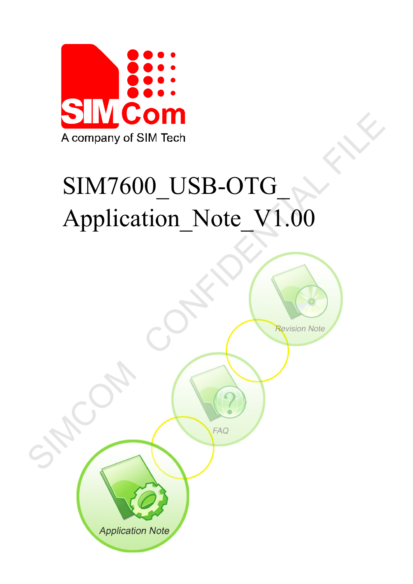

# SIM7600\_USB-OTG\_ Application\_Note\_V1.00

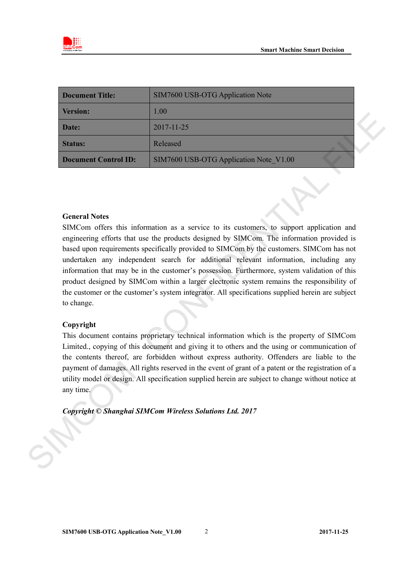

| <b>Document Title:</b>      | SIM7600 USB-OTG Application Note       |  |
|-----------------------------|----------------------------------------|--|
| <b>Version:</b>             | 1.00                                   |  |
| Date:                       | $2017 - 11 - 25$                       |  |
| <b>Status:</b>              | Released                               |  |
| <b>Document Control ID:</b> | SIM7600 USB-OTG Application Note V1.00 |  |

#### **General Notes**

SIMCom offers this information as a service to its customers, to support application and engineering efforts that use the products designed by SIMCom. The information provided is based upon requirements specifically provided to SIMCom by the customers. SIMCom has not undertaken any independent search for additional relevant information, including any information that may be in the customer's possession. Furthermore, system validation of this product designed by SIMCom within a larger electronic system remains the responsibility of the customer or the customer's system integrator. All specifications supplied herein are subject to change. The state of the state of the state of the state of the state of the state of the state of the state of the state of the state of the state of the state of the state of the state of the state of the state of the state of

#### **Copyright**

This document contains proprietary technical information which is the property of SIMCom Limited., copying of this document and giving it to others and the using or communication of the contents thereof, are forbidden without express authority. Offenders are liable to the payment of damages. All rights reserved in the event of grant of a patent or the registration of a utility model or design. All specification supplied herein are subject to change without notice at any time.

*Copyright © Shanghai SIMCom Wireless Solutions Ltd. 2017*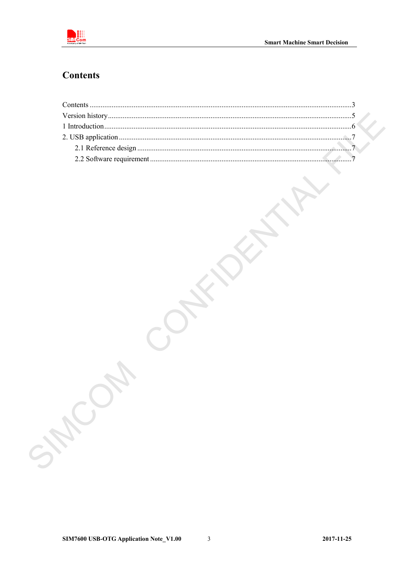

# <span id="page-2-0"></span>**Contents**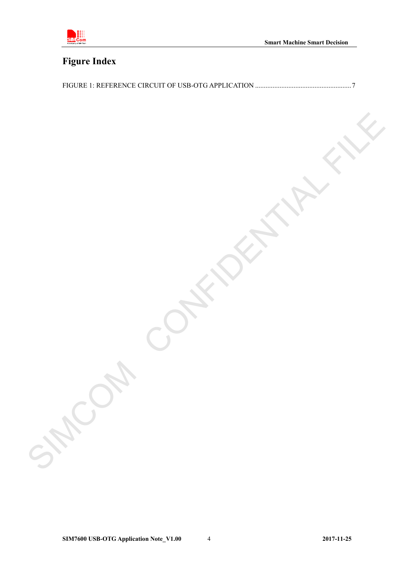

# **Figure Index**

SIMCOM CONFIDENTIAL FILE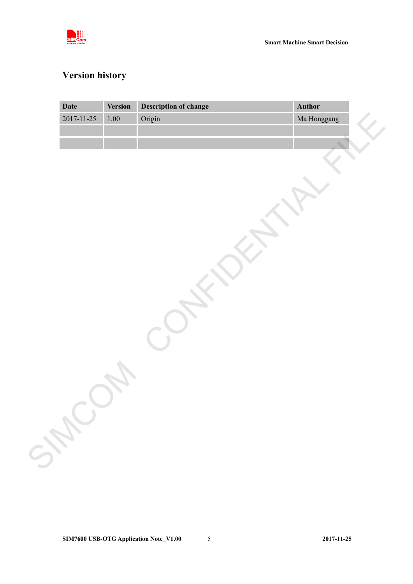

# <span id="page-4-0"></span>**Version history**

| Date             | Version  | <b>Description of change</b> | Author      |
|------------------|----------|------------------------------|-------------|
| $2017 - 11 - 25$ | $1.00\,$ | Origin                       | Ma Honggang |
|                  |          |                              |             |
|                  |          |                              |             |
|                  |          |                              |             |
|                  |          |                              |             |
|                  |          |                              |             |
|                  |          |                              |             |
|                  |          |                              |             |
|                  |          |                              |             |
|                  |          |                              |             |
|                  |          |                              |             |
|                  |          |                              |             |
|                  |          |                              |             |
|                  |          |                              |             |
|                  |          |                              |             |
|                  |          |                              |             |
|                  |          |                              |             |
|                  |          |                              |             |
|                  |          |                              |             |
|                  |          |                              |             |
|                  |          |                              |             |
|                  |          |                              |             |
|                  |          |                              |             |
|                  |          |                              |             |
|                  |          |                              |             |
| SHOC             |          |                              |             |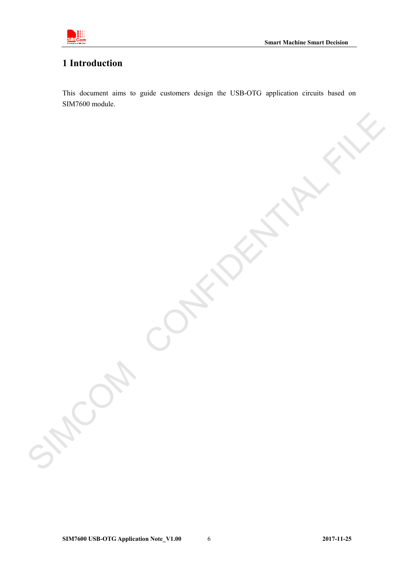

# <span id="page-5-0"></span>**1 Introduction**

This document aims to guide customers design the USB-OTG application circuits based on SIM7600 module.

SIMCOM CONFIDENTIAL FILE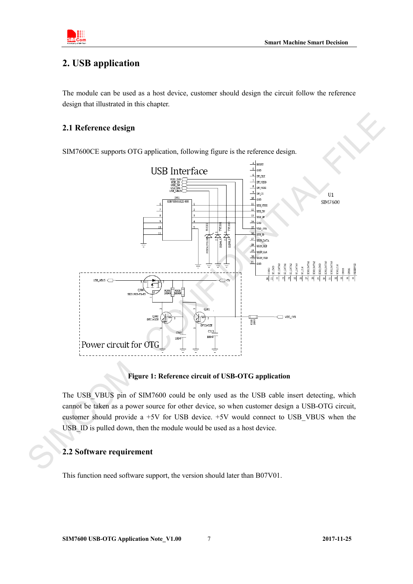

# <span id="page-6-0"></span>**2. USB application**

The module can be used as a host device, customer should design the circuit follow the reference design that illustrated in this chapter.

# **2.1 Reference design**

SIM7600CE supports OTG application, following figure is the reference design.

<span id="page-6-1"></span>

#### **Figure 1: Reference circuit of USB-OTG application**

<span id="page-6-3"></span>The USB\_VBUS pin of SIM7600 could be only used as the USB cable insert detecting, which cannot be taken as a power source for other device, so when customer design a USB-OTG circuit, customer should provide a +5V for USB device. +5V would connect to USB\_VBUS when the USB ID is pulled down, then the module would be used as a host device. Figure<br>The USB\_VBUS pin of SIN<br>cannot be taken as a power s<br>customer should provide a<br>USB\_ID is pulled down, ther<br>2.2 Software requirement

# <span id="page-6-2"></span>**2.2 Software requirement**

This function need software support, the version should later than B07V01.